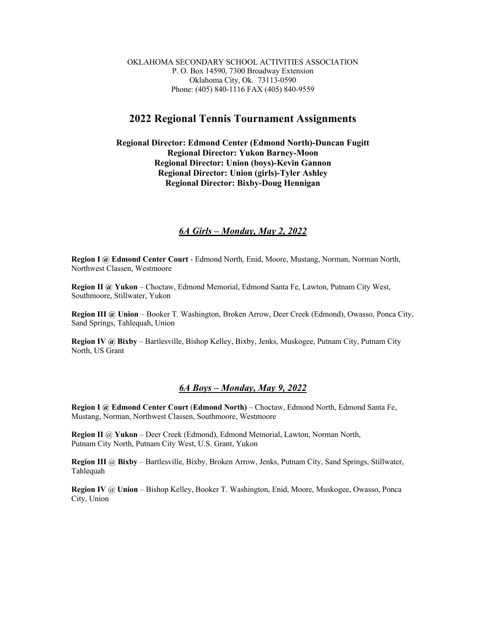OKLAHOMA SECONDARY SCHOOL ACTIVITIES ASSOCIATION P. O. Box 14590, 7300 Broadway Extension Oklahoma City, Ok. 73113-0590 Phone: (405) 840-1116 FAX (405) 840-9559

## **2022 Regional Tennis Tournament Assignments**

**Regional Director: Edmond Center (Edmond North)-Duncan Fugitt Regional Director: Yukon Barney-Moon Regional Director: Union (boys)-Kevin Gannon Regional Director: Union (girls)-Tyler Ashley Regional Director: Bixby-Doug Hennigan**

## *6A Girls – Monday, May 2, 2022*

**Region I @ Edmond Center Court** - Edmond North, Enid, Moore, Mustang, Norman, Norman North, Northwest Classen, Westmoore

**Region II @ Yukon** – Choctaw, Edmond Memorial, Edmond Santa Fe, Lawton, Putnam City West, Southmoore, Stillwater, Yukon

**Region III @ Union** – Booker T. Washington, Broken Arrow, Deer Creek (Edmond), Owasso, Ponca City, Sand Springs, Tahlequah, Union

**Region IV @ Bixby** – Bartlesville, Bishop Kelley, Bixby, Jenks, Muskogee, Putnam City, Putnam City North, US Grant

## *6A Boys – Monday, May 9, 2022*

**Region I @ Edmond Center Court** (**Edmond North)** – Choctaw, Edmond North, Edmond Santa Fe, Mustang, Norman, Northwest Classen, Southmoore, Westmoore

**Region II** @ **Yukon** – Deer Creek (Edmond), Edmond Memorial, Lawton, Norman North, Putnam City North, Putnam City West, U.S. Grant, Yukon

**Region III** @ **Bixby** – Bartlesville, Bixby, Broken Arrow, Jenks, Putnam City, Sand Springs, Stillwater, Tahlequah

**Region IV** @ **Union** – Bishop Kelley, Booker T. Washington, Enid, Moore, Muskogee, Owasso, Ponca City, Union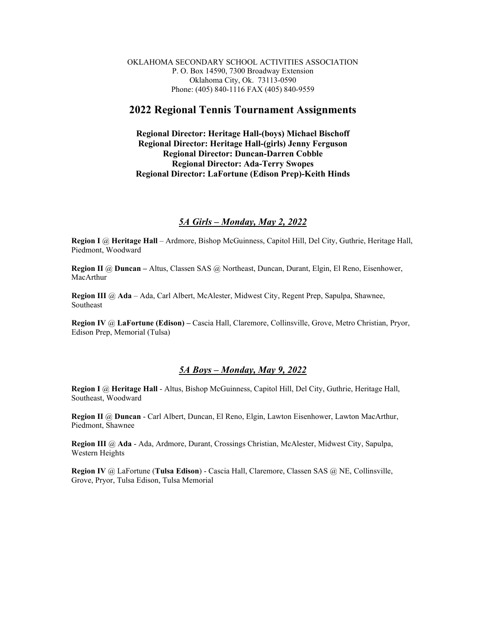OKLAHOMA SECONDARY SCHOOL ACTIVITIES ASSOCIATION P. O. Box 14590, 7300 Broadway Extension Oklahoma City, Ok. 73113-0590 Phone: (405) 840-1116 FAX (405) 840-9559

# **2022 Regional Tennis Tournament Assignments**

**Regional Director: Heritage Hall-(boys) Michael Bischoff Regional Director: Heritage Hall-(girls) Jenny Ferguson Regional Director: Duncan-Darren Cobble Regional Director: Ada-Terry Swopes Regional Director: LaFortune (Edison Prep)-Keith Hinds**

### *5A Girls – Monday, May 2, 2022*

**Region I** @ **Heritage Hall** – Ardmore, Bishop McGuinness, Capitol Hill, Del City, Guthrie, Heritage Hall, Piedmont, Woodward

**Region II** @ **Duncan –** Altus, Classen SAS @ Northeast, Duncan, Durant, Elgin, El Reno, Eisenhower, MacArthur

**Region III** @ **Ada** – Ada, Carl Albert, McAlester, Midwest City, Regent Prep, Sapulpa, Shawnee, Southeast

**Region IV** @ **LaFortune (Edison) –** Cascia Hall, Claremore, Collinsville, Grove, Metro Christian, Pryor, Edison Prep, Memorial (Tulsa)

## *5A Boys – Monday, May 9, 2022*

**Region I** @ **Heritage Hall** - Altus, Bishop McGuinness, Capitol Hill, Del City, Guthrie, Heritage Hall, Southeast, Woodward

**Region II** @ **Duncan** - Carl Albert, Duncan, El Reno, Elgin, Lawton Eisenhower, Lawton MacArthur, Piedmont, Shawnee

**Region III** @ **Ada** - Ada, Ardmore, Durant, Crossings Christian, McAlester, Midwest City, Sapulpa, Western Heights

**Region IV** @ LaFortune (**Tulsa Edison**) - Cascia Hall, Claremore, Classen SAS @ NE, Collinsville, Grove, Pryor, Tulsa Edison, Tulsa Memorial